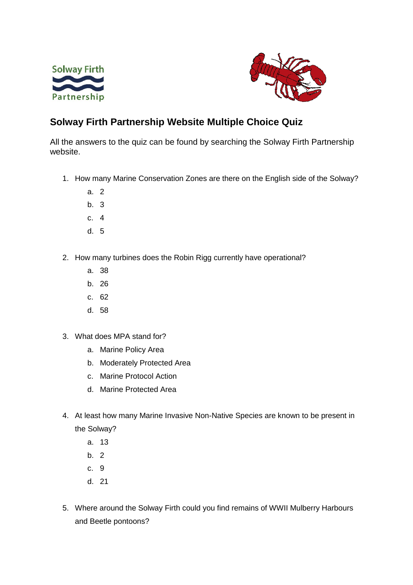



## **Solway Firth Partnership Website Multiple Choice Quiz**

All the answers to the quiz can be found by searching the Solway Firth Partnership website.

- 1. How many Marine Conservation Zones are there on the English side of the Solway?
	- a. 2
	- b. 3
	- c. 4
	- d. 5
- 2. How many turbines does the Robin Rigg currently have operational?
	- a. 38
	- b. 26
	- c. 62
	- d. 58
- 3. What does MPA stand for?
	- a. Marine Policy Area
	- b. Moderately Protected Area
	- c. Marine Protocol Action
	- d. Marine Protected Area
- 4. At least how many Marine Invasive Non-Native Species are known to be present in the Solway?
	- a. 13
	- b. 2
	- c. 9
	- d. 21
- 5. Where around the Solway Firth could you find remains of WWII Mulberry Harbours and Beetle pontoons?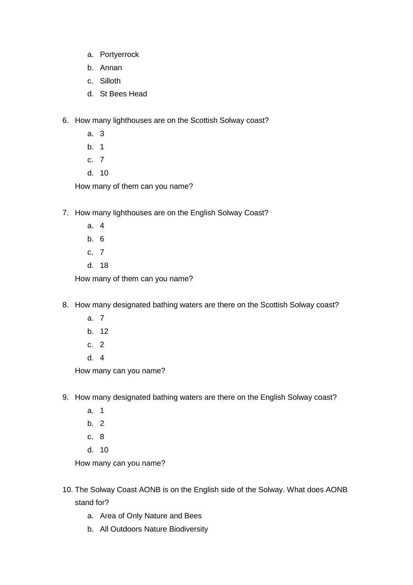- a. Portyerrock
- b. Annan
- c. Silloth
- d. St Bees Head
- 6. How many lighthouses are on the Scottish Solway coast?
	- a. 3
	- b. 1
	- c. 7
	- d. 10

How many of them can you name?

- 7. How many lighthouses are on the English Solway Coast?
	- a. 4
	- b. 6
	- c. 7
	- d. 18

How many of them can you name?

- 8. How many designated bathing waters are there on the Scottish Solway coast?
	- a. 7
	- b. 12
	- c. 2
	- d. 4

How many can you name?

- 9. How many designated bathing waters are there on the English Solway coast?
	- a. 1
	- b. 2
	- c. 8
	- d. 10

How many can you name?

- 10. The Solway Coast AONB is on the English side of the Solway. What does AONB stand for?
	- a. Area of Only Nature and Bees
	- b. All Outdoors Nature Biodiversity